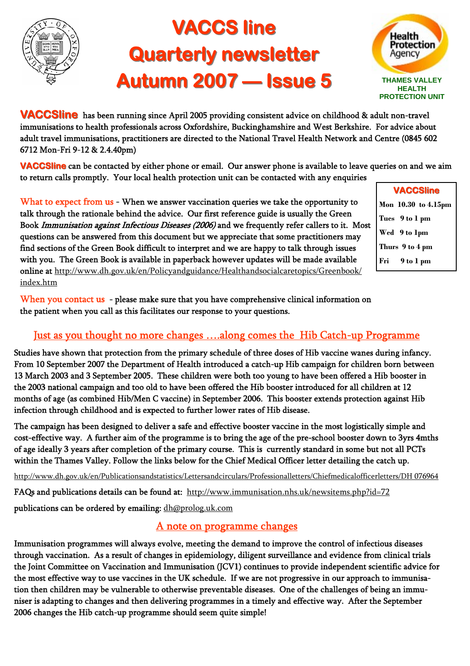

# **VACCS line Quarterly newsletter Autumn 2007 — Issue 5 THAMES VALLEY**



**VACCSline** has been running since April 2005 providing consistent advice on childhood & adult non-travel immunisations to health professionals across Oxfordshire, Buckinghamshire and West Berkshire. For advice about adult travel immunisations, practitioners are directed to the National Travel Health Network and Centre (0845 602 6712 Mon-Fri 9-12 & 2.4.40pm)

**VACCSline** can be contacted by either phone or email. Our answer phone is available to leave queries on and we aim to return calls promptly. Your local health protection unit can be contacted with any enquiries

What to expect from us - When we answer vaccination queries we take the opportunity to talk through the rationale behind the advice. Our first reference guide is usually the Green Book Immunisation against Infectious Diseases (2006) and we frequently refer callers to it. Most questions can be answered from this document but we appreciate that some practitioners may find sections of the Green Book difficult to interpret and we are happy to talk through issues with you. The Green Book is available in paperback however updates will be made available online at http://www.dh.gov.uk/en/Policyandguidance/Healthandsocialcaretopics/Greenbook/ index.htm

**VACCSline VACCSline Mon 10.30 to 4.15pm Tues 9 to 1 pm Thurs 9 to 4 pm Fri 9 to 1 pm Wed 9 to 1pm** 

When you contact us - please make sure that you have comprehensive clinical information on the patient when you call as this facilitates our response to your questions.

#### Just as you thought no more changes ….along comes the Hib Catch-up Programme

Studies have shown that protection from the primary schedule of three doses of Hib vaccine wanes during infancy. From 10 September 2007 the Department of Health introduced a catch-up Hib campaign for children born between 13 March 2003 and 3 September 2005. These children were both too young to have been offered a Hib booster in the 2003 national campaign and too old to have been offered the Hib booster introduced for all children at 12 months of age (as combined Hib/Men C vaccine) in September 2006. This booster extends protection against Hib infection through childhood and is expected to further lower rates of Hib disease.

The campaign has been designed to deliver a safe and effective booster vaccine in the most logistically simple and cost-effective way. A further aim of the programme is to bring the age of the pre-school booster down to 3yrs 4mths of age ideally 3 years after completion of the primary course. This is currently standard in some but not all PCTs within the Thames Valley. Follow the links below for the Chief Medical Officer letter detailing the catch up.

http://www.dh.gov.uk/en/Publicationsandstatistics/Lettersandcirculars/Professionalletters/Chiefmedicalofficerletters/DH 076964

FAQs and publications details can be found at: http://www.immunisation.nhs.uk/newsitems.php?id=72

publications can be ordered by emailing: dh@prolog.uk.com

#### A note on programme changes

Immunisation programmes will always evolve, meeting the demand to improve the control of infectious diseases through vaccination. As a result of changes in epidemiology, diligent surveillance and evidence from clinical trials the Joint Committee on Vaccination and Immunisation (JCV1) continues to provide independent scientific advice for the most effective way to use vaccines in the UK schedule. If we are not progressive in our approach to immunisation then children may be vulnerable to otherwise preventable diseases. One of the challenges of being an immuniser is adapting to changes and then delivering programmes in a timely and effective way. After the September 2006 changes the Hib catch-up programme should seem quite simple!